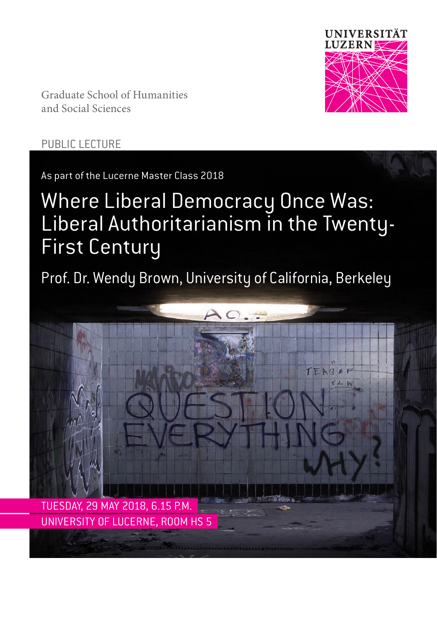

Graduate School of Humanities and Social Sciences

### PUBLIC LECTURE

As part of the Lucerne Master Class 2018

# Where Liberal Democracy Once Was: Liberal Authoritarianism in the Twenty-First Century

Prof. Dr. Wendy Brown, University of California, Berkeley